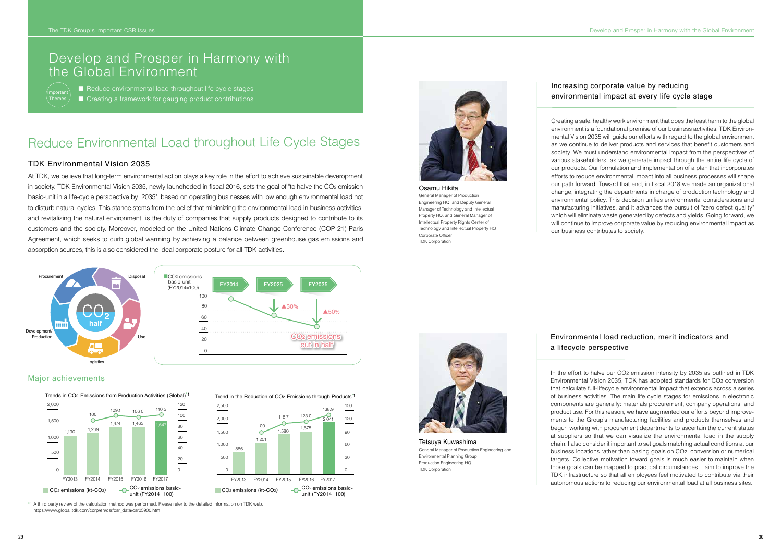▲50%

# Reduce Environmental Load throughout Life Cycle Stages

#### TDK Environmental Vision 2035

At TDK, we believe that long-term environmental action plays a key role in the effort to achieve sustainable deveropment in society. TDK Environmental Vision 2035, newly launcheded in fiscal 2016, sets the goal of "to halve the CO2 emission basic-unit in a life-cycle perspective by 2035", based on operating businesses with low enough environmental load not to disturb natural cycles. This stance stems from the belief that minimizing the environmental load in business activities, and revitalizing the natural environment, is the duty of companies that supply products designed to contribute to its customers and the society. Moreover, modeled on the United Nations Climate Change Conference (COP 21) Paris Agreement, which seeks to curb global warming by achieving a balance between greenhouse gas emissions and absorption sources, this is also considered the ideal corporate posture for all TDK activities.

Osamu Hikita General Manager of Production Engineering HQ, and Deputy General Manager of Technology and Intellectual Property HQ, and General Manager of Intellectual Property Rights Center of Technology and Intellectual Property HQ Corporate Officer TDK Corporation

Tetsuya Kuwashima General Manager of Production Engineering and Environmental Planning Group Production Engineering HQ TDK Corporation

### Increasing corporate value by reducing environmental impact at every life cycle stage

## Environmental load reduction, merit indicators and a lifecycle perspective

Creating a safe, healthy work environment that does the least harm to the global environment is a foundational premise of our business activities. TDK Environmental Vision 2035 will guide our efforts with regard to the global environment as we continue to deliver products and services that benefit customers and society. We must understand environmental impact from the perspectives of various stakeholders, as we generate impact through the entire life cycle of our products. Our formulation and implementation of a plan that incorporates efforts to reduce environmental impact into all business processes will shape our path forward. Toward that end, in fiscal 2018 we made an organizational change, integrating the departments in charge of production technology and environmental policy. This decision unifies environmental considerations and manufacturing initiatives, and it advances the pursuit of "zero defect quality" which will eliminate waste generated by defects and yields. Going forward, we will continue to improve corporate value by reducing environmental impact as our business contributes to society.





In the effort to halve our CO2 emission intensity by 2035 as outlined in TDK Environmental Vision 2035, TDK has adopted standards for CO2 conversion that calculate full-lifecycle environmental impact that extends across a series of business activities. The main life cycle stages for emissions in electronic components are generally: materials procurement, company operations, and product use. For this reason, we have augmented our efforts beyond improvements to the Group's manufacturing facilities and products themselves and begun working with procurement departments to ascertain the current status at suppliers so that we can visualize the environmental load in the supply chain. I also consider it important to set goals matching actual conditions at our business locations rather than basing goals on CO2 conversion or numerical targets. Collective motivation toward goals is much easier to maintain when those goals can be mapped to practical circumstances. I aim to improve the TDK infrastructure so that all employees feel motivated to contribute via their autonomous actions to reducing our environmental load at all business sites.

\*1 A third party review of the calculation method was performed. Please refer to the detailed information on TDK web. https://www.global.tdk.com/corp/en/csr/csr\_data/csr05900.htm



#### Major achievements



Trend in the Reduction of CO<sub>2</sub> Emissions through Products<sup>\*1</sup>



## Develop and Prosper in Harmony with the Global Environment

■ Reduce environmental load throughout life cycle stages ■ Creating a framework for gauging product contributions

Important Themes